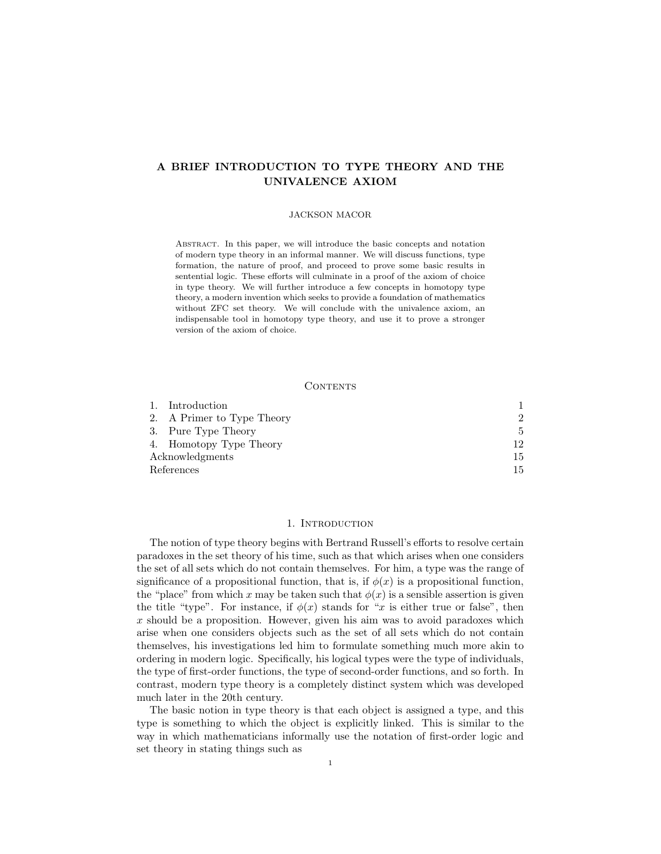# A BRIEF INTRODUCTION TO TYPE THEORY AND THE UNIVALENCE AXIOM

#### JACKSON MACOR

Abstract. In this paper, we will introduce the basic concepts and notation of modern type theory in an informal manner. We will discuss functions, type formation, the nature of proof, and proceed to prove some basic results in sentential logic. These efforts will culminate in a proof of the axiom of choice in type theory. We will further introduce a few concepts in homotopy type theory, a modern invention which seeks to provide a foundation of mathematics without ZFC set theory. We will conclude with the univalence axiom, an indispensable tool in homotopy type theory, and use it to prove a stronger version of the axiom of choice.

## CONTENTS

|                 | 1. Introduction            |    |
|-----------------|----------------------------|----|
|                 | 2. A Primer to Type Theory | 2  |
|                 | 3. Pure Type Theory        | 5  |
|                 | 4. Homotopy Type Theory    | 12 |
| Acknowledgments |                            | 15 |
| References      |                            | 15 |

# 1. INTRODUCTION

The notion of type theory begins with Bertrand Russell's efforts to resolve certain paradoxes in the set theory of his time, such as that which arises when one considers the set of all sets which do not contain themselves. For him, a type was the range of significance of a propositional function, that is, if  $\phi(x)$  is a propositional function, the "place" from which x may be taken such that  $\phi(x)$  is a sensible assertion is given the title "type". For instance, if  $\phi(x)$  stands for "x is either true or false", then  $x$  should be a proposition. However, given his aim was to avoid paradoxes which arise when one considers objects such as the set of all sets which do not contain themselves, his investigations led him to formulate something much more akin to ordering in modern logic. Specifically, his logical types were the type of individuals, the type of first-order functions, the type of second-order functions, and so forth. In contrast, modern type theory is a completely distinct system which was developed much later in the 20th century.

The basic notion in type theory is that each object is assigned a type, and this type is something to which the object is explicitly linked. This is similar to the way in which mathematicians informally use the notation of first-order logic and set theory in stating things such as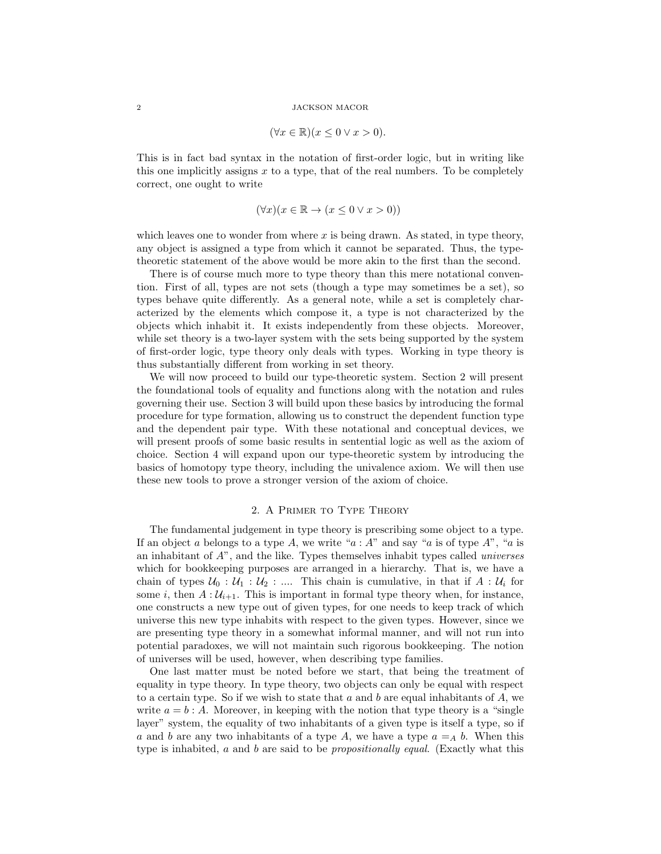$$
(\forall x \in \mathbb{R})(x \le 0 \lor x > 0).
$$

This is in fact bad syntax in the notation of first-order logic, but in writing like this one implicitly assigns  $x$  to a type, that of the real numbers. To be completely correct, one ought to write

$$
(\forall x)(x \in \mathbb{R} \to (x \le 0 \lor x > 0))
$$

which leaves one to wonder from where  $x$  is being drawn. As stated, in type theory, any object is assigned a type from which it cannot be separated. Thus, the typetheoretic statement of the above would be more akin to the first than the second.

There is of course much more to type theory than this mere notational convention. First of all, types are not sets (though a type may sometimes be a set), so types behave quite differently. As a general note, while a set is completely characterized by the elements which compose it, a type is not characterized by the objects which inhabit it. It exists independently from these objects. Moreover, while set theory is a two-layer system with the sets being supported by the system of first-order logic, type theory only deals with types. Working in type theory is thus substantially different from working in set theory.

We will now proceed to build our type-theoretic system. Section 2 will present the foundational tools of equality and functions along with the notation and rules governing their use. Section 3 will build upon these basics by introducing the formal procedure for type formation, allowing us to construct the dependent function type and the dependent pair type. With these notational and conceptual devices, we will present proofs of some basic results in sentential logic as well as the axiom of choice. Section 4 will expand upon our type-theoretic system by introducing the basics of homotopy type theory, including the univalence axiom. We will then use these new tools to prove a stronger version of the axiom of choice.

# 2. A Primer to Type Theory

The fundamental judgement in type theory is prescribing some object to a type. If an object a belongs to a type A, we write "a : A" and say "a is of type  $A$ ", "a is an inhabitant of A", and the like. Types themselves inhabit types called universes which for bookkeeping purposes are arranged in a hierarchy. That is, we have a chain of types  $U_0 : U_1 : U_2 : ...$  This chain is cumulative, in that if  $A : U_i$  for some i, then  $A: U_{i+1}$ . This is important in formal type theory when, for instance, one constructs a new type out of given types, for one needs to keep track of which universe this new type inhabits with respect to the given types. However, since we are presenting type theory in a somewhat informal manner, and will not run into potential paradoxes, we will not maintain such rigorous bookkeeping. The notion of universes will be used, however, when describing type families.

One last matter must be noted before we start, that being the treatment of equality in type theory. In type theory, two objects can only be equal with respect to a certain type. So if we wish to state that a and b are equal inhabitants of  $A$ , we write  $a = b : A$ . Moreover, in keeping with the notion that type theory is a "single layer" system, the equality of two inhabitants of a given type is itself a type, so if a and b are any two inhabitants of a type A, we have a type  $a =_A b$ . When this type is inhabited, a and b are said to be *propositionally equal.* (Exactly what this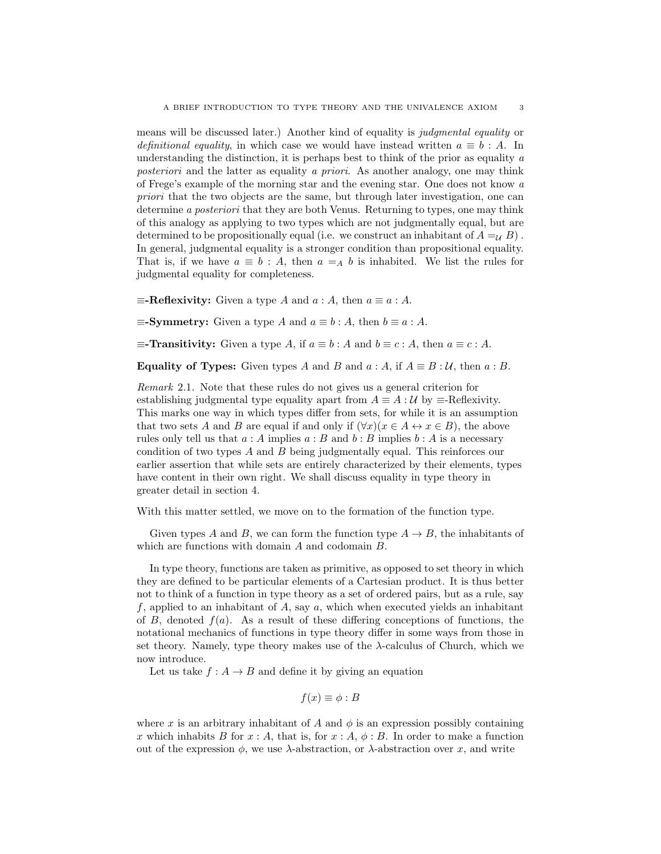means will be discussed later.) Another kind of equality is judgmental equality or definitional equality, in which case we would have instead written  $a \equiv b : A$ . In understanding the distinction, it is perhaps best to think of the prior as equality  $a$ posteriori and the latter as equality a priori. As another analogy, one may think of Frege's example of the morning star and the evening star. One does not know a priori that the two objects are the same, but through later investigation, one can determine a posteriori that they are both Venus. Returning to types, one may think of this analogy as applying to two types which are not judgmentally equal, but are determined to be propositionally equal (i.e. we construct an inhabitant of  $A =_{U} B$ ). In general, judgmental equality is a stronger condition than propositional equality. That is, if we have  $a \equiv b : A$ , then  $a = A b$  is inhabited. We list the rules for judgmental equality for completeness.

 $\equiv$ -Reflexivity: Given a type A and  $a : A$ , then  $a \equiv a : A$ .

 $\equiv$ -Symmetry: Given a type A and  $a \equiv b : A$ , then  $b \equiv a : A$ .

 $\equiv$ -Transitivity: Given a type A, if  $a \equiv b : A$  and  $b \equiv c : A$ , then  $a \equiv c : A$ .

Equality of Types: Given types A and B and  $a : A$ , if  $A \equiv B : U$ , then  $a : B$ .

Remark 2.1. Note that these rules do not gives us a general criterion for establishing judgmental type equality apart from  $A \equiv A : U$  by  $\equiv$ -Reflexivity. This marks one way in which types differ from sets, for while it is an assumption that two sets A and B are equal if and only if  $(\forall x)(x \in A \leftrightarrow x \in B)$ , the above rules only tell us that  $a : A$  implies  $a : B$  and  $b : B$  implies  $b : A$  is a necessary condition of two types A and B being judgmentally equal. This reinforces our earlier assertion that while sets are entirely characterized by their elements, types have content in their own right. We shall discuss equality in type theory in greater detail in section 4.

With this matter settled, we move on to the formation of the function type.

Given types A and B, we can form the function type  $A \to B$ , the inhabitants of which are functions with domain A and codomain B.

In type theory, functions are taken as primitive, as opposed to set theory in which they are defined to be particular elements of a Cartesian product. It is thus better not to think of a function in type theory as a set of ordered pairs, but as a rule, say f, applied to an inhabitant of  $A$ , say  $a$ , which when executed yields an inhabitant of B, denoted  $f(a)$ . As a result of these differing conceptions of functions, the notational mechanics of functions in type theory differ in some ways from those in set theory. Namely, type theory makes use of the  $\lambda$ -calculus of Church, which we now introduce.

Let us take  $f : A \to B$  and define it by giving an equation

$$
f(x) \equiv \phi : B
$$

where x is an arbitrary inhabitant of A and  $\phi$  is an expression possibly containing x which inhabits B for  $x : A$ , that is, for  $x : A, \phi : B$ . In order to make a function out of the expression  $\phi$ , we use  $\lambda$ -abstraction, or  $\lambda$ -abstraction over x, and write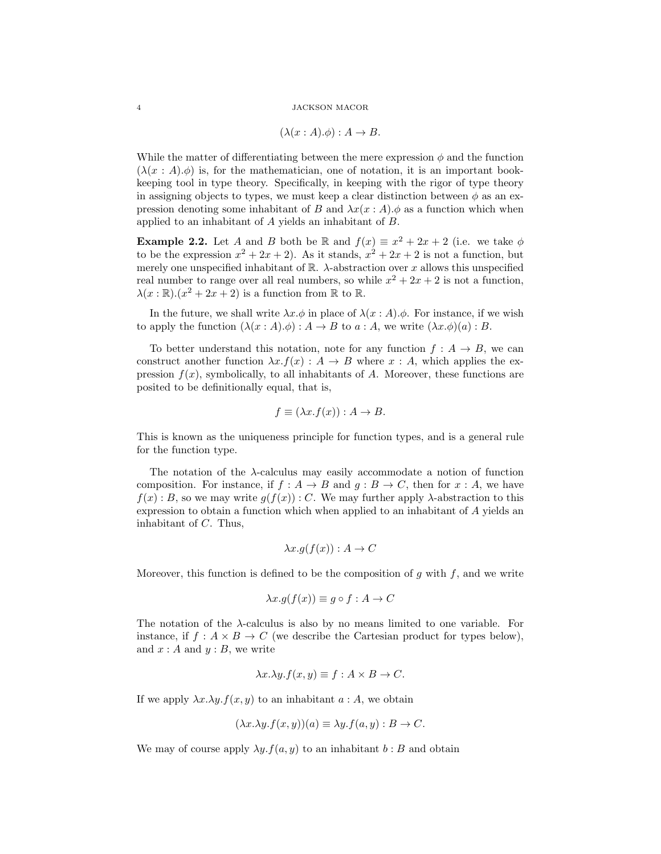$(\lambda(x:A).\phi): A \to B.$ 

While the matter of differentiating between the mere expression  $\phi$  and the function  $(\lambda(x : A).\phi)$  is, for the mathematician, one of notation, it is an important bookkeeping tool in type theory. Specifically, in keeping with the rigor of type theory in assigning objects to types, we must keep a clear distinction between  $\phi$  as an expression denoting some inhabitant of B and  $\lambda x(x:A)$ . $\phi$  as a function which when applied to an inhabitant of A yields an inhabitant of B.

**Example 2.2.** Let A and B both be R and  $f(x) \equiv x^2 + 2x + 2$  (i.e. we take  $\phi$ to be the expression  $x^2 + 2x + 2$ . As it stands,  $x^2 + 2x + 2$  is not a function, but merely one unspecified inhabitant of  $\mathbb{R}$ .  $\lambda$ -abstraction over x allows this unspecified real number to range over all real numbers, so while  $x^2 + 2x + 2$  is not a function,  $\lambda(x:\mathbb{R}).(x^2+2x+2)$  is a function from  $\mathbb R$  to  $\mathbb R$ .

In the future, we shall write  $\lambda x.\phi$  in place of  $\lambda(x:A).\phi$ . For instance, if we wish to apply the function  $(\lambda(x : A).\phi) : A \to B$  to  $a : A$ , we write  $(\lambda x.\phi)(a) : B$ .

To better understand this notation, note for any function  $f : A \rightarrow B$ , we can construct another function  $\lambda x.f(x) : A \rightarrow B$  where  $x : A$ , which applies the expression  $f(x)$ , symbolically, to all inhabitants of A. Moreover, these functions are posited to be definitionally equal, that is,

$$
f \equiv (\lambda x.f(x)) : A \to B.
$$

This is known as the uniqueness principle for function types, and is a general rule for the function type.

The notation of the  $\lambda$ -calculus may easily accommodate a notion of function composition. For instance, if  $f : A \to B$  and  $g : B \to C$ , then for  $x : A$ , we have  $f(x)$ : B, so we may write  $g(f(x))$ : C. We may further apply  $\lambda$ -abstraction to this expression to obtain a function which when applied to an inhabitant of A yields an inhabitant of C. Thus,

$$
\lambda x. g(f(x)) : A \to C
$$

Moreover, this function is defined to be the composition of  $g$  with  $f$ , and we write

$$
\lambda x. g(f(x)) \equiv g \circ f : A \to C
$$

The notation of the  $\lambda$ -calculus is also by no means limited to one variable. For instance, if  $f: A \times B \to C$  (we describe the Cartesian product for types below), and  $x : A$  and  $y : B$ , we write

$$
\lambda x. \lambda y. f(x, y) \equiv f : A \times B \to C.
$$

If we apply  $\lambda x.\lambda y.f(x, y)$  to an inhabitant  $a : A$ , we obtain

$$
(\lambda x.\lambda y.f(x,y))(a) \equiv \lambda y.f(a,y): B \to C.
$$

We may of course apply  $\lambda y. f(a, y)$  to an inhabitant  $b : B$  and obtain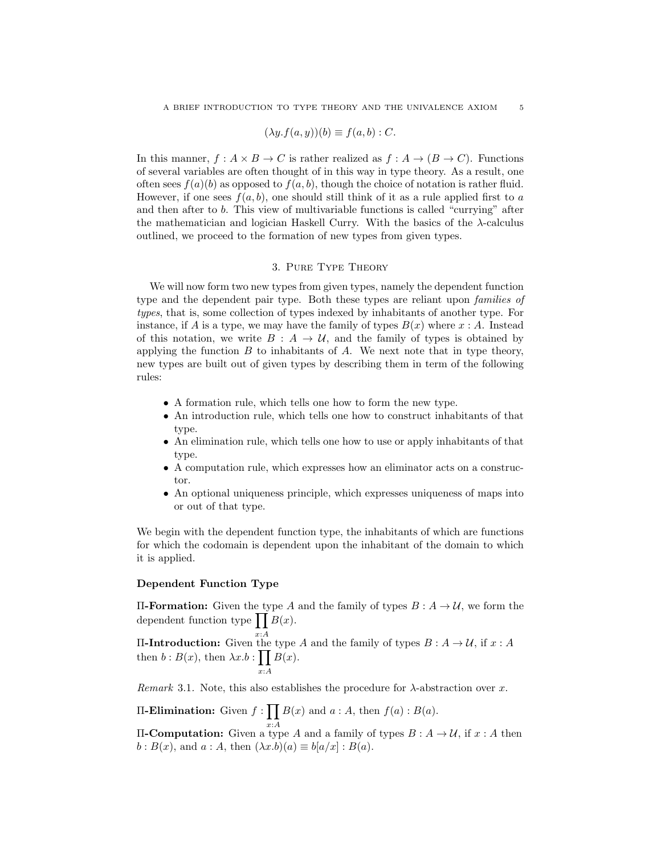$$
(\lambda y.f(a,y))(b) \equiv f(a,b):C.
$$

In this manner,  $f : A \times B \to C$  is rather realized as  $f : A \to (B \to C)$ . Functions of several variables are often thought of in this way in type theory. As a result, one often sees  $f(a)(b)$  as opposed to  $f(a, b)$ , though the choice of notation is rather fluid. However, if one sees  $f(a, b)$ , one should still think of it as a rule applied first to a and then after to b. This view of multivariable functions is called "currying" after the mathematician and logician Haskell Curry. With the basics of the  $\lambda$ -calculus outlined, we proceed to the formation of new types from given types.

## 3. Pure Type Theory

We will now form two new types from given types, namely the dependent function type and the dependent pair type. Both these types are reliant upon families of types, that is, some collection of types indexed by inhabitants of another type. For instance, if A is a type, we may have the family of types  $B(x)$  where  $x : A$ . Instead of this notation, we write  $B: A \rightarrow U$ , and the family of types is obtained by applying the function  $B$  to inhabitants of  $A$ . We next note that in type theory, new types are built out of given types by describing them in term of the following rules:

- A formation rule, which tells one how to form the new type.
- An introduction rule, which tells one how to construct inhabitants of that type.
- An elimination rule, which tells one how to use or apply inhabitants of that type.
- A computation rule, which expresses how an eliminator acts on a constructor.
- An optional uniqueness principle, which expresses uniqueness of maps into or out of that type.

We begin with the dependent function type, the inhabitants of which are functions for which the codomain is dependent upon the inhabitant of the domain to which it is applied.

#### Dependent Function Type

**Π-Formation:** Given the type A and the family of types  $B : A \rightarrow U$ , we form the dependent function type  $\prod B(x)$ .

**II-Introduction:** Given the type A and the family of types  $B : A \to U$ , if  $x : A$ then  $b : B(x)$ , then  $\lambda x.b : \prod$  $x:A$  $B(x).$ 

Remark 3.1. Note, this also establishes the procedure for  $\lambda$ -abstraction over x.

**Π-Elimination:** Given  $f : \prod B(x)$  and  $a : A$ , then  $f(a) : B(a)$ .

**II-Computation:** Given a type A and a family of types  $B: A \to U$ , if  $x: A$  then  $b : B(x)$ , and  $a : A$ , then  $(\lambda x.b)(a) \equiv b[a/x] : B(a)$ .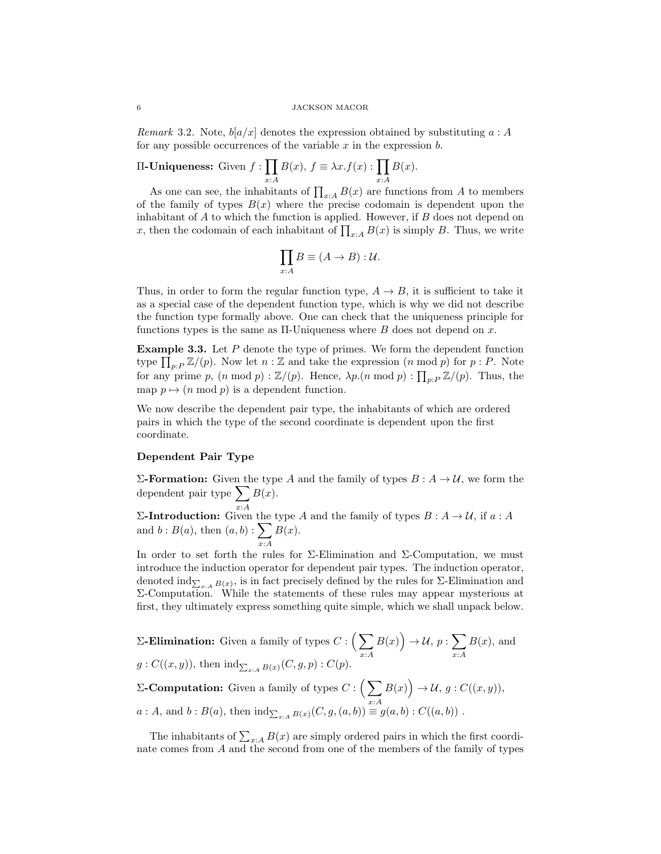*Remark* 3.2. Note,  $b[a/x]$  denotes the expression obtained by substituting  $a : A$ for any possible occurrences of the variable  $x$  in the expression  $b$ .

Π-Uniqueness: Given  $f : \prod$  $x:A$  $B(x), f \equiv \lambda x.f(x): \prod$  $x:A$  $B(x).$ 

As one can see, the inhabitants of  $\prod_{x:A} B(x)$  are functions from A to members of the family of types  $B(x)$  where the precise codomain is dependent upon the inhabitant of  $A$  to which the function is applied. However, if  $B$  does not depend on x, then the codomain of each inhabitant of  $\prod_{x:A} B(x)$  is simply B. Thus, we write

$$
\prod_{x:A} B \equiv (A \to B) : \mathcal{U}.
$$

Thus, in order to form the regular function type,  $A \rightarrow B$ , it is sufficient to take it as a special case of the dependent function type, which is why we did not describe the function type formally above. One can check that the uniqueness principle for functions types is the same as  $\Pi$ -Uniqueness where B does not depend on x.

**Example 3.3.** Let  $P$  denote the type of primes. We form the dependent function type  $\prod_{p:P} \mathbb{Z}/(p)$ . Now let  $n : \mathbb{Z}$  and take the expression  $(n \mod p)$  for  $p : P$ . Note for any prime p,  $(n \mod p) : \mathbb{Z}/(p)$ . Hence,  $\lambda p.(n \mod p) : \prod_{p:P} \mathbb{Z}/(p)$ . Thus, the map  $p \mapsto (n \mod p)$  is a dependent function.

We now describe the dependent pair type, the inhabitants of which are ordered pairs in which the type of the second coordinate is dependent upon the first coordinate.

# Dependent Pair Type

Σ-Formation: Given the type A and the family of types  $B: A → U$ , we form the dependent pair type  $\sum$  $B(x).$ 

 $x:A$ **Σ-Introduction:** Given the type A and the family of types  $B: A \to U$ , if  $a: A$ and  $b : B(a)$ , then  $(a, b) : \sum$ x:A  $B(x).$ 

In order to set forth the rules for  $\Sigma$ -Elimination and  $\Sigma$ -Computation, we must introduce the induction operator for dependent pair types. The induction operator, denoted  $\text{ind}_{\sum_{x:A} B(x)}$ , is in fact precisely defined by the rules for  $\Sigma$ -Elimination and Σ-Computation. While the statements of these rules may appear mysterious at first, they ultimately express something quite simple, which we shall unpack below.

Σ-Elimination: Given a family of types  $C: \left( \sum_{i=1}^{\infty} \right)$  $x:A$  $B(x)$   $\rightarrow \mathcal{U}, p : \sum$  $x:A$  $B(x)$ , and  $g: C((x, y)),$  then  $\text{ind}_{\sum_{x:A} B(x)}(C, g, p) : C(p).$ Σ-Computation: Given a family of types  $C : \left( \sum_{i=1}^{\infty} \right)$  $x:A$  $B(x)$   $\rightarrow U, g: C((x, y)),$  $a : A$ , and  $b : B(a)$ , then  $\text{ind}_{\sum_{x:A} B(x)}(C, g, (a, b)) \equiv g(a, b) : C((a, b))$ .

The inhabitants of  $\sum_{x:A} B(x)$  are simply ordered pairs in which the first coordinate comes from A and the second from one of the members of the family of types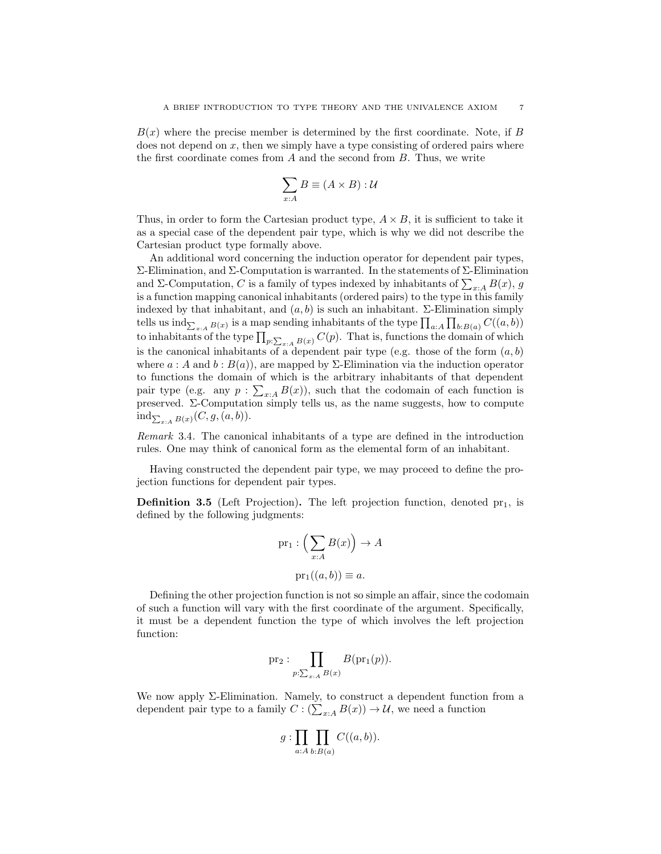$B(x)$  where the precise member is determined by the first coordinate. Note, if B does not depend on  $x$ , then we simply have a type consisting of ordered pairs where the first coordinate comes from  $A$  and the second from  $B$ . Thus, we write

$$
\sum_{x:A} B \equiv (A \times B) : \mathcal{U}
$$

Thus, in order to form the Cartesian product type,  $A \times B$ , it is sufficient to take it as a special case of the dependent pair type, which is why we did not describe the Cartesian product type formally above.

An additional word concerning the induction operator for dependent pair types, Σ-Elimination, and Σ-Computation is warranted. In the statements of Σ-Elimination and  $\Sigma$ -Computation, C is a family of types indexed by inhabitants of  $\sum_{x:A} B(x)$ , g is a function mapping canonical inhabitants (ordered pairs) to the type in this family indexed by that inhabitant, and  $(a, b)$  is such an inhabitant.  $\Sigma$ -Elimination simply tells us  $\text{ind}_{\sum_{x:A} B(x)}$  is a map sending inhabitants of the type  $\prod_{a:A} \prod_{b:B(a)} C((a, b))$ to inhabitants of the type  $\prod_{p:\sum_{x:A} B(x)} C(p)$ . That is, functions the domain of which is the canonical inhabitants of a dependent pair type (e.g. those of the form  $(a, b)$ ) where  $a : A$  and  $b : B(a)$ , are mapped by  $\Sigma$ -Elimination via the induction operator to functions the domain of which is the arbitrary inhabitants of that dependent pair type (e.g. any  $p : \sum_{x:A} B(x)$ ), such that the codomain of each function is preserved. Σ-Computation simply tells us, as the name suggests, how to compute  $\text{ind}_{\sum_{x:A} B(x)}(C, g, (a, b)).$ 

Remark 3.4. The canonical inhabitants of a type are defined in the introduction rules. One may think of canonical form as the elemental form of an inhabitant.

Having constructed the dependent pair type, we may proceed to define the projection functions for dependent pair types.

**Definition 3.5** (Left Projection). The left projection function, denoted  $pr_1$ , is defined by the following judgments:

$$
pr_1: \left(\sum_{x:A} B(x)\right) \to A
$$

$$
pr_1((a,b)) \equiv a.
$$

Defining the other projection function is not so simple an affair, since the codomain of such a function will vary with the first coordinate of the argument. Specifically, it must be a dependent function the type of which involves the left projection function:

$$
\mathrm{pr}_2: \prod_{p:\sum_{x:A}B(x)}B(\mathrm{pr}_1(p)).
$$

We now apply  $\Sigma$ -Elimination. Namely, to construct a dependent function from a dependent pair type to a family  $C : (\sum_{x:A} B(x)) \to \mathcal{U}$ , we need a function

$$
g: \prod_{a:A} \prod_{b:B(a)} C((a,b)).
$$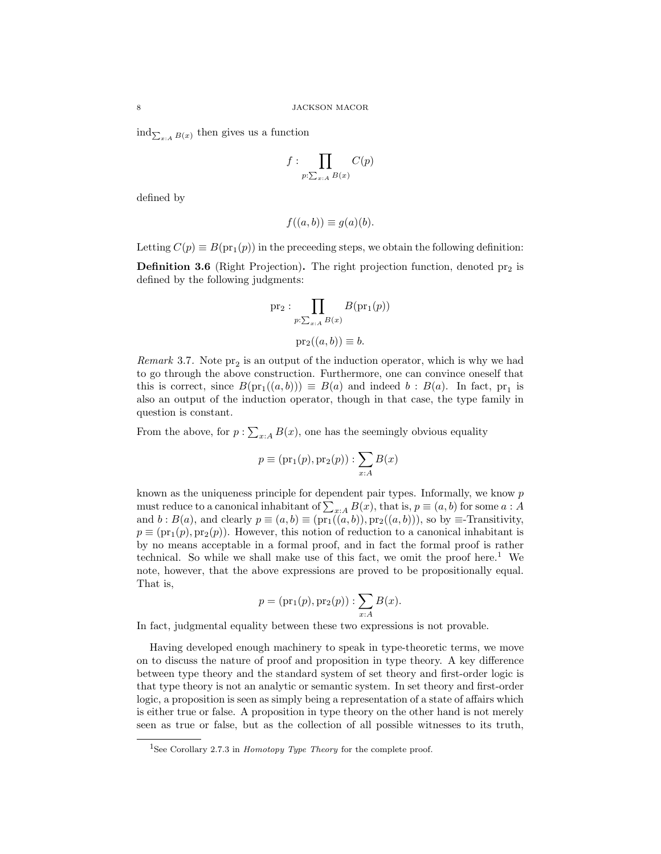$\operatorname{ind}_{\sum_{x:A} B(x)}$  then gives us a function

$$
f:\prod_{p:\sum_{x:A}B(x)}C(p)
$$

defined by

$$
f((a,b)) \equiv g(a)(b).
$$

Letting  $C(p) \equiv B(\text{pr}_1(p))$  in the preceeding steps, we obtain the following definition: **Definition 3.6** (Right Projection). The right projection function, denoted  $pr_2$  is defined by the following judgments:

$$
\text{pr}_2: \prod_{p:\sum_{x:A}B(x)}B(\text{pr}_1(p))
$$

$$
\text{pr}_2((a,b)) \equiv b.
$$

Remark 3.7. Note  $pr_2$  is an output of the induction operator, which is why we had to go through the above construction. Furthermore, one can convince oneself that this is correct, since  $B(pr_1((a, b))) \equiv B(a)$  and indeed  $b : B(a)$ . In fact,  $pr_1$  is also an output of the induction operator, though in that case, the type family in question is constant.

From the above, for  $p: \sum_{x:A} B(x)$ , one has the seemingly obvious equality

$$
p\equiv(\mathrm{pr}_1(p),\mathrm{pr}_2(p)):\sum_{x:A}B(x)
$$

known as the uniqueness principle for dependent pair types. Informally, we know p must reduce to a canonical inhabitant of  $\sum_{x:A} B(x)$ , that is,  $p \equiv (a, b)$  for some  $a : A$ and  $b : B(a)$ , and clearly  $p \equiv (a, b) \equiv (pr_1((a, b)), pr_2((a, b)))$ , so by  $\equiv$ -Transitivity,  $p \equiv (pr_1(p), pr_2(p))$ . However, this notion of reduction to a canonical inhabitant is by no means acceptable in a formal proof, and in fact the formal proof is rather technical. So while we shall make use of this fact, we omit the proof here.<sup>1</sup> We note, however, that the above expressions are proved to be propositionally equal. That is,

$$
p = (\text{pr}_1(p), \text{pr}_2(p)) : \sum_{x:A} B(x).
$$

In fact, judgmental equality between these two expressions is not provable.

Having developed enough machinery to speak in type-theoretic terms, we move on to discuss the nature of proof and proposition in type theory. A key difference between type theory and the standard system of set theory and first-order logic is that type theory is not an analytic or semantic system. In set theory and first-order logic, a proposition is seen as simply being a representation of a state of affairs which is either true or false. A proposition in type theory on the other hand is not merely seen as true or false, but as the collection of all possible witnesses to its truth,

<sup>&</sup>lt;sup>1</sup>See Corollary 2.7.3 in *Homotopy Type Theory* for the complete proof.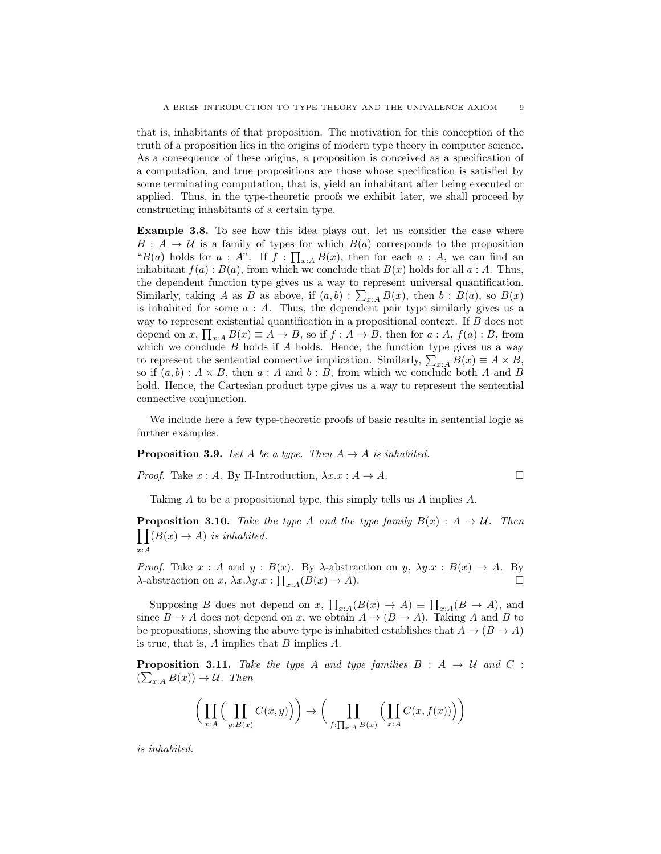that is, inhabitants of that proposition. The motivation for this conception of the truth of a proposition lies in the origins of modern type theory in computer science. As a consequence of these origins, a proposition is conceived as a specification of a computation, and true propositions are those whose specification is satisfied by some terminating computation, that is, yield an inhabitant after being executed or applied. Thus, in the type-theoretic proofs we exhibit later, we shall proceed by constructing inhabitants of a certain type.

Example 3.8. To see how this idea plays out, let us consider the case where  $B: A \to U$  is a family of types for which  $B(a)$  corresponds to the proposition " $B(a)$  holds for  $a : A$ ". If  $f : \prod_{x:A} B(x)$ , then for each  $a : A$ , we can find an inhabitant  $f(a): B(a)$ , from which we conclude that  $B(x)$  holds for all  $a: A$ . Thus, the dependent function type gives us a way to represent universal quantification. Similarly, taking A as B as above, if  $(a, b)$  :  $\sum_{x:A} B(x)$ , then  $b : B(a)$ , so  $B(x)$ is inhabited for some  $a : A$ . Thus, the dependent pair type similarly gives us a way to represent existential quantification in a propositional context. If B does not depend on x,  $\prod_{x:A} B(x) \equiv A \rightarrow B$ , so if  $f : A \rightarrow B$ , then for  $a : A$ ,  $f(a) : B$ , from which we conclude  $B$  holds if  $A$  holds. Hence, the function type gives us a way to represent the sentential connective implication. Similarly,  $\sum_{x:A} B(x) \equiv A \times B$ , so if  $(a, b) : A \times B$ , then  $a : A$  and  $b : B$ , from which we conclude both A and B hold. Hence, the Cartesian product type gives us a way to represent the sentential connective conjunction.

We include here a few type-theoretic proofs of basic results in sentential logic as further examples.

**Proposition 3.9.** Let A be a type. Then  $A \rightarrow A$  is inhabited.

*Proof.* Take  $x : A$ . By II-Introduction,  $\lambda x.x : A \rightarrow A$ .

Taking A to be a propositional type, this simply tells us A implies A.

**Proposition 3.10.** Take the type A and the type family  $B(x) : A \rightarrow U$ . Then  $\prod (B(x) \rightarrow A)$  is inhabited.  $x:A$ 

*Proof.* Take  $x : A$  and  $y : B(x)$ . By  $\lambda$ -abstraction on  $y, \lambda y.x : B(x) \to A$ . By  $\lambda$ -abstraction on x,  $\lambda x.\lambda y.x : \prod_{x:A} (B(x) \to A).$ 

Supposing B does not depend on x,  $\prod_{x:A}(B(x) \to A) \equiv \prod_{x:A}(B \to A)$ , and since  $B \to A$  does not depend on x, we obtain  $A \to (B \to A)$ . Taking A and B to be propositions, showing the above type is inhabited establishes that  $A \rightarrow (B \rightarrow A)$ is true, that is,  $A$  implies that  $B$  implies  $A$ .

**Proposition 3.11.** Take the type A and type families  $B : A \rightarrow U$  and C :  $(\sum_{x:A} B(x)) \to \mathcal{U}$ . Then

$$
\bigg(\prod_{x:A}\Big(\prod_{y:B(x)}C(x,y)\Big)\bigg) \to \bigg(\prod_{f:\prod_{x:A}B(x)}\Big(\prod_{x:A}C(x,f(x))\Big)\bigg)
$$

is inhabited.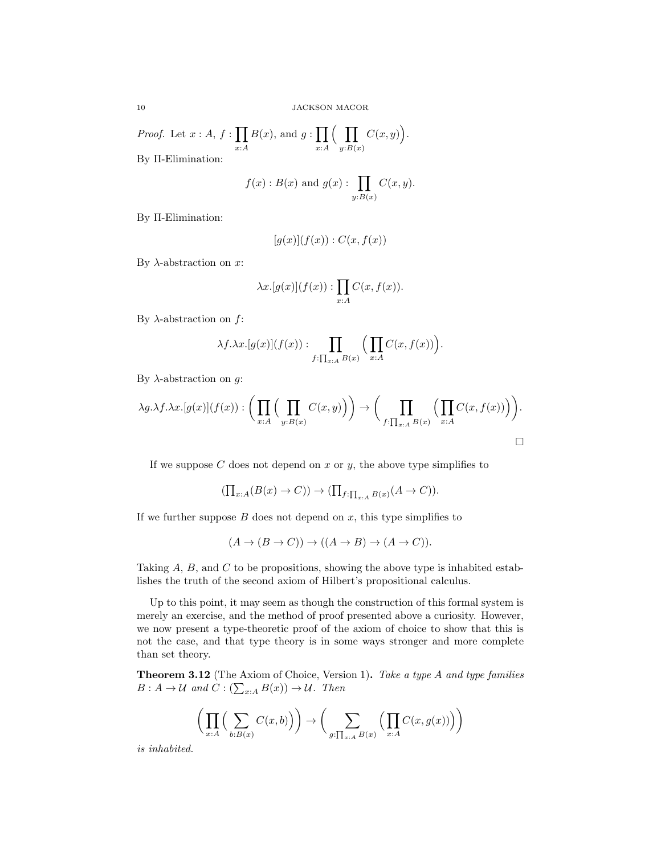*Proof.* Let  $x : A, f : \prod$ x:A  $B(x)$ , and  $g: \prod$ x:A  $($   $\Pi$  $y:B(x)$  $C(x, y)$ .

By Π-Elimination:

$$
f(x): B(x)
$$
 and  $g(x): \prod_{y:B(x)} C(x,y)$ .

By Π-Elimination:

$$
[g(x)](f(x)):C(x,f(x))
$$

By  $λ$ -abstraction on x:

$$
\lambda x. [g(x)](f(x)) : \prod_{x:A} C(x, f(x)).
$$

By  $λ$ -abstraction on  $f$ :

$$
\lambda f. \lambda x. [g(x)](f(x)) : \prod_{f: \prod_{x:A} B(x)} \Big( \prod_{x:A} C(x, f(x)) \Big).
$$

By  $\lambda$ -abstraction on g:

$$
\lambda g.\lambda f.\lambda x. [g(x)](f(x)) : \left( \prod_{x:A} \left( \prod_{y:B(x)} C(x,y) \right) \right) \to \left( \prod_{f:\prod_{x:A} B(x)} \left( \prod_{x:A} C(x,f(x)) \right) \right).
$$

If we suppose  $C$  does not depend on  $x$  or  $y$ , the above type simplifies to

$$
(\prod_{x:A} (B(x) \to C)) \to (\prod_{f:\prod_{x:A} B(x)} (A \to C)).
$$

If we further suppose  $B$  does not depend on  $x$ , this type simplifies to

$$
(A \to (B \to C)) \to ((A \to B) \to (A \to C)).
$$

Taking A, B, and C to be propositions, showing the above type is inhabited establishes the truth of the second axiom of Hilbert's propositional calculus.

Up to this point, it may seem as though the construction of this formal system is merely an exercise, and the method of proof presented above a curiosity. However, we now present a type-theoretic proof of the axiom of choice to show that this is not the case, and that type theory is in some ways stronger and more complete than set theory.

Theorem 3.12 (The Axiom of Choice, Version 1). Take a type A and type families  $B: A \to U$  and  $C: (\sum_{x:A} B(x)) \to U$ . Then

$$
\bigg(\prod_{x:A}\Big(\sum_{b:B(x)}C(x,b)\Big)\bigg)\to \bigg(\sum_{g:\prod_{x:A}B(x)}\Big(\prod_{x:A}C(x,g(x))\Big)\bigg)
$$

is inhabited.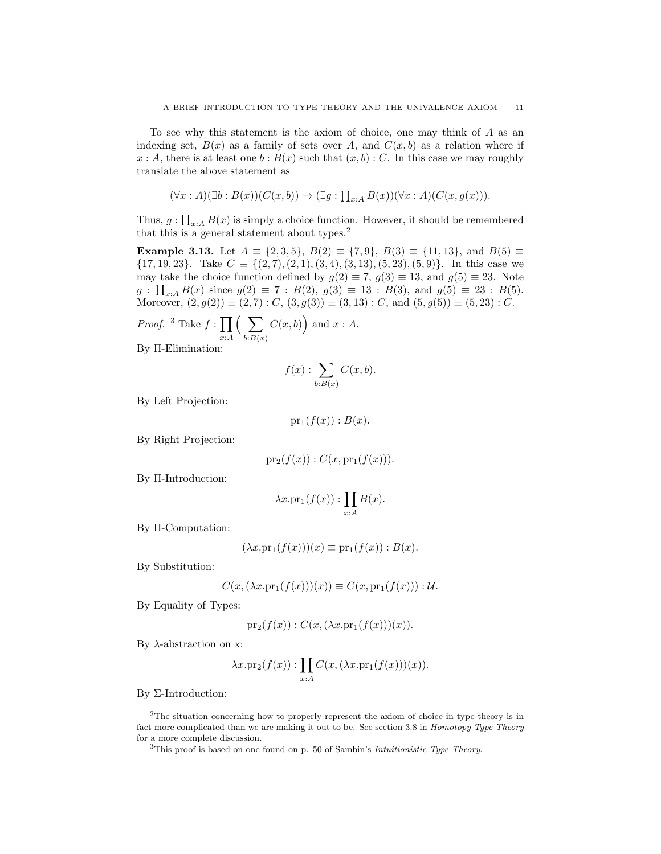To see why this statement is the axiom of choice, one may think of A as an indexing set,  $B(x)$  as a family of sets over A, and  $C(x, b)$  as a relation where if  $x : A$ , there is at least one  $b : B(x)$  such that  $(x, b) : C$ . In this case we may roughly translate the above statement as

$$
(\forall x:A)(\exists b:B(x))(C(x,b))\to (\exists g:\prod_{x:A}B(x))(\forall x:A)(C(x,g(x))).
$$

Thus,  $g: \prod_{x:A} B(x)$  is simply a choice function. However, it should be remembered that this is a general statement about types.<sup>2</sup>

Example 3.13. Let  $A = \{2, 3, 5\}$ ,  $B(2) = \{7, 9\}$ ,  $B(3) = \{11, 13\}$ , and  $B(5) =$  $\{17, 19, 23\}$ . Take  $C \equiv \{(2, 7), (2, 1), (3, 4), (3, 13), (5, 23), (5, 9)\}$ . In this case we may take the choice function defined by  $g(2) \equiv 7, g(3) \equiv 13$ , and  $g(5) \equiv 23$ . Note  $g: \prod_{x:A} B(x)$  since  $g(2) \equiv 7 : B(2), g(3) \equiv 13 : B(3), \text{ and } g(5) \equiv 23 : B(5).$ Moreover,  $(2, g(2)) \equiv (2, 7) : C$ ,  $(3, g(3)) \equiv (3, 13) : C$ , and  $(5, g(5)) \equiv (5, 23) : C$ .

*Proof.* <sup>3</sup> Take 
$$
f : \prod_{x:A} \Big( \sum_{b:B(x)} C(x,b) \Big)
$$
 and  $x : A$ .  
By II-Elimination:

$$
f(x): \sum_{b:B(x)} C(x,b).
$$

By Left Projection:

$$
pr_1(f(x)):B(x).
$$

By Right Projection:

$$
\mathrm{pr}_2(f(x)) : C(x, \mathrm{pr}_1(f(x))).
$$

By Π-Introduction:

$$
\lambda x.\mathrm{pr}_1(f(x)) : \prod_{x:A} B(x).
$$

By Π-Computation:

$$
(\lambda x.\operatorname{pr}_1(f(x)))(x) \equiv \operatorname{pr}_1(f(x)) : B(x).
$$

By Substitution:

$$
C(x,(\lambda x.\text{pr}_1(f(x)))(x)) \equiv C(x,\text{pr}_1(f(x))) : \mathcal{U}.
$$

By Equality of Types:

$$
\mathrm{pr}_2(f(x)) : C(x, (\lambda x. \mathrm{pr}_1(f(x)))(x)).
$$

By  $λ$ -abstraction on x:

$$
\lambda x.\mathrm{pr}_2(f(x)) : \prod_{x:A} C(x, (\lambda x.\mathrm{pr}_1(f(x)))(x)).
$$

By Σ-Introduction:

<sup>2</sup>The situation concerning how to properly represent the axiom of choice in type theory is in fact more complicated than we are making it out to be. See section 3.8 in Homotopy Type Theory for a more complete discussion.

 $3$ This proof is based on one found on p. 50 of Sambin's *Intuitionistic Type Theory*.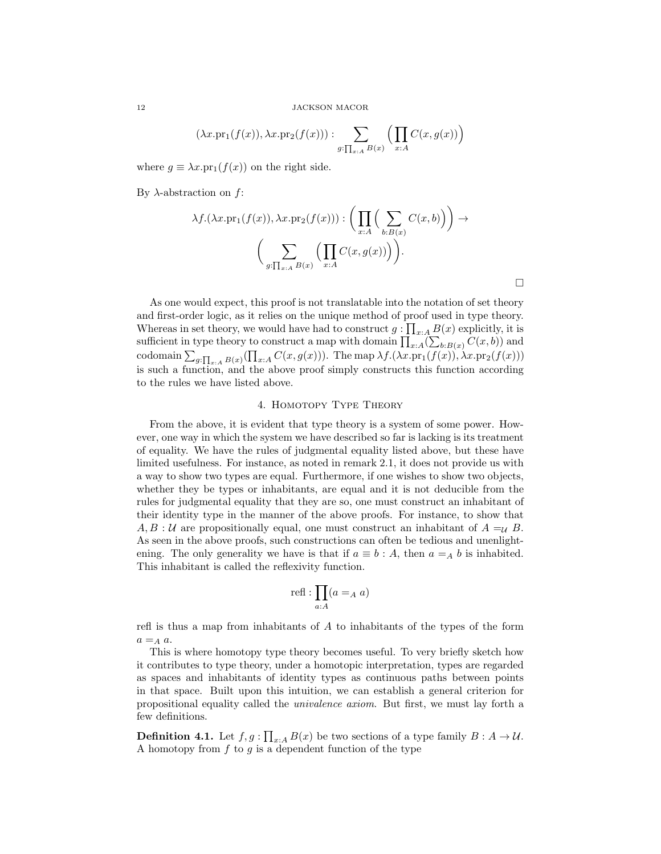$$
(\lambda x.\text{pr}_1(f(x)), \lambda x.\text{pr}_2(f(x))) : \sum_{g:\prod_{x:A} B(x)} \left( \prod_{x:A} C(x,g(x)) \right)
$$

where  $q \equiv \lambda x.\text{pr}_1(f(x))$  on the right side.

By  $\lambda$ -abstraction on f:

$$
\lambda f.(\lambda x. \operatorname{pr}_1(f(x)), \lambda x. \operatorname{pr}_2(f(x))) : \left( \prod_{x:A} \left( \sum_{b:B(x)} C(x,b) \right) \right) \to
$$

$$
\left( \sum_{g: \prod_{x:A} B(x)} \left( \prod_{x:A} C(x,g(x)) \right) \right).
$$

 $\Box$ 

As one would expect, this proof is not translatable into the notation of set theory and first-order logic, as it relies on the unique method of proof used in type theory. Whereas in set theory, we would have had to construct  $g: \prod_{x:A} B(x)$  explicitly, it is sufficient in type theory to construct a map with domain  $\prod_{x:A}(\sum_{b:B(x)} C(x,b))$  and codomain  $\sum_{g:\prod_{x:A}B(x)}(\prod_{x:A}C(x,g(x)))$ . The map  $\lambda f.(\lambda x.\text{pr}_1(f(x)),\lambda x.\text{pr}_2(f(x)))$ is such a function, and the above proof simply constructs this function according to the rules we have listed above.

### 4. Homotopy Type Theory

From the above, it is evident that type theory is a system of some power. However, one way in which the system we have described so far is lacking is its treatment of equality. We have the rules of judgmental equality listed above, but these have limited usefulness. For instance, as noted in remark 2.1, it does not provide us with a way to show two types are equal. Furthermore, if one wishes to show two objects, whether they be types or inhabitants, are equal and it is not deducible from the rules for judgmental equality that they are so, one must construct an inhabitant of their identity type in the manner of the above proofs. For instance, to show that  $A, B: U$  are propositionally equal, one must construct an inhabitant of  $A =_{U} B$ . As seen in the above proofs, such constructions can often be tedious and unenlightening. The only generality we have is that if  $a \equiv b : A$ , then  $a =_A b$  is inhabited. This inhabitant is called the reflexivity function.

$$
\text{refl} : \prod_{a:A} (a =_A a)
$$

refl is thus a map from inhabitants of A to inhabitants of the types of the form  $a =_A a$ .

This is where homotopy type theory becomes useful. To very briefly sketch how it contributes to type theory, under a homotopic interpretation, types are regarded as spaces and inhabitants of identity types as continuous paths between points in that space. Built upon this intuition, we can establish a general criterion for propositional equality called the univalence axiom. But first, we must lay forth a few definitions.

**Definition 4.1.** Let  $f, g: \prod_{x:A} B(x)$  be two sections of a type family  $B: A \to \mathcal{U}$ . A homotopy from  $f$  to  $g$  is a dependent function of the type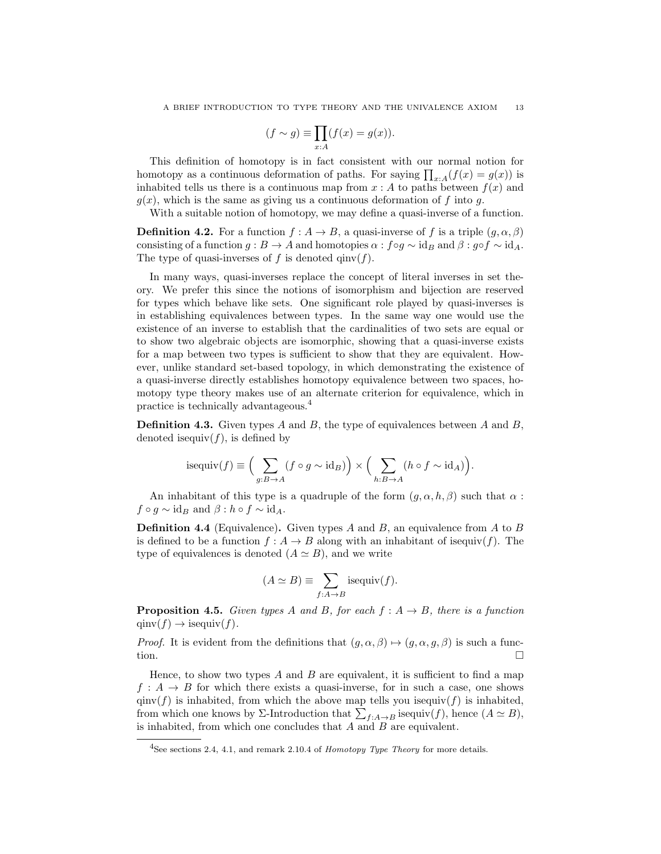$$
(f \sim g) \equiv \prod_{x:A} (f(x) = g(x)).
$$

This definition of homotopy is in fact consistent with our normal notion for homotopy as a continuous deformation of paths. For saying  $\prod_{x:A}(f(x) = g(x))$  is inhabited tells us there is a continuous map from  $x : A$  to paths between  $f(x)$  and  $g(x)$ , which is the same as giving us a continuous deformation of f into g.

With a suitable notion of homotopy, we may define a quasi-inverse of a function.

**Definition 4.2.** For a function  $f : A \rightarrow B$ , a quasi-inverse of f is a triple  $(g, \alpha, \beta)$ consisting of a function  $g : B \to A$  and homotopies  $\alpha : f \circ g \sim id_B$  and  $\beta : g \circ f \sim id_A$ . The type of quasi-inverses of f is denoted  $qinv(f)$ .

In many ways, quasi-inverses replace the concept of literal inverses in set theory. We prefer this since the notions of isomorphism and bijection are reserved for types which behave like sets. One significant role played by quasi-inverses is in establishing equivalences between types. In the same way one would use the existence of an inverse to establish that the cardinalities of two sets are equal or to show two algebraic objects are isomorphic, showing that a quasi-inverse exists for a map between two types is sufficient to show that they are equivalent. However, unlike standard set-based topology, in which demonstrating the existence of a quasi-inverse directly establishes homotopy equivalence between two spaces, homotopy type theory makes use of an alternate criterion for equivalence, which in practice is technically advantageous.<sup>4</sup>

**Definition 4.3.** Given types  $A$  and  $B$ , the type of equivalences between  $A$  and  $B$ , denoted is<br>equiv( $f$ ), is defined by

isequiv
$$
(f)
$$
  $\equiv \left(\sum_{g:B\to A} (f \circ g \sim id_B)\right) \times \left(\sum_{h:B\to A} (h \circ f \sim id_A)\right).$ 

An inhabitant of this type is a quadruple of the form  $(g, \alpha, h, \beta)$  such that  $\alpha$ :  $f \circ g \sim \text{id}_B$  and  $\beta : h \circ f \sim \text{id}_A$ .

**Definition 4.4** (Equivalence). Given types A and B, an equivalence from A to B is defined to be a function  $f : A \rightarrow B$  along with an inhabitant of isequiv(f). The type of equivalences is denoted  $(A \simeq B)$ , and we write

$$
(A \simeq B) \equiv \sum_{f:A \to B} \text{isequiv}(f).
$$

**Proposition 4.5.** Given types A and B, for each  $f : A \rightarrow B$ , there is a function  $\text{qinv}(f) \to \text{isequiv}(f)$ .

*Proof.* It is evident from the definitions that  $(g, \alpha, \beta) \mapsto (g, \alpha, g, \beta)$  is such a function.  $\Box$ 

Hence, to show two types  $A$  and  $B$  are equivalent, it is sufficient to find a map  $f: A \rightarrow B$  for which there exists a quasi-inverse, for in such a case, one shows  $\text{qinv}(f)$  is inhabited, from which the above map tells you isequiv(f) is inhabited, from which one knows by  $\Sigma$ -Introduction that  $\sum_{f:A\to B}$  isequiv $(f)$ , hence  $(A \simeq B)$ , is inhabited, from which one concludes that  $A$  and  $B$  are equivalent.

<sup>&</sup>lt;sup>4</sup>See sections 2.4, 4.1, and remark 2.10.4 of *Homotopy Type Theory* for more details.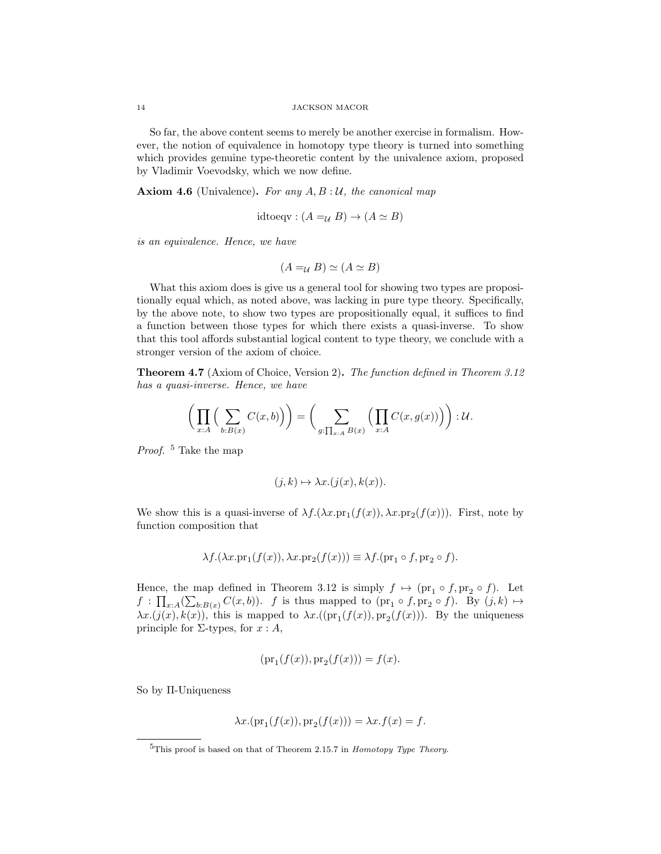So far, the above content seems to merely be another exercise in formalism. However, the notion of equivalence in homotopy type theory is turned into something which provides genuine type-theoretic content by the univalence axiom, proposed by Vladimir Voevodsky, which we now define.

**Axiom 4.6** (Univalence). For any  $A, B, \mathcal{U}$ , the canonical map

idtoeqv : 
$$
(A =_{\mathcal{U}} B) \rightarrow (A \simeq B)
$$

is an equivalence. Hence, we have

$$
(A =_{\mathcal{U}} B) \simeq (A \simeq B)
$$

What this axiom does is give us a general tool for showing two types are propositionally equal which, as noted above, was lacking in pure type theory. Specifically, by the above note, to show two types are propositionally equal, it suffices to find a function between those types for which there exists a quasi-inverse. To show that this tool affords substantial logical content to type theory, we conclude with a stronger version of the axiom of choice.

Theorem 4.7 (Axiom of Choice, Version 2). The function defined in Theorem 3.12 has a quasi-inverse. Hence, we have

$$
\left(\prod_{x:A}\Big(\sum_{b:B(x)}C(x,b)\Big)\right) = \left(\sum_{g:\prod_{x:A}B(x)}\Big(\prod_{x:A}C(x,g(x))\Big)\right) : U.
$$

Proof. <sup>5</sup> Take the map

$$
(j,k) \mapsto \lambda x.(j(x),k(x)).
$$

We show this is a quasi-inverse of  $\lambda f.(\lambda x.\text{pr}_1(f(x)), \lambda x.\text{pr}_2(f(x)))$ . First, note by function composition that

$$
\lambda f.(\lambda x.\text{pr}_1(f(x)), \lambda x.\text{pr}_2(f(x))) \equiv \lambda f.(\text{pr}_1 \circ f, \text{pr}_2 \circ f).
$$

Hence, the map defined in Theorem 3.12 is simply  $f \mapsto (pr_1 \circ f, pr_2 \circ f)$ . Let  $f: \prod_{x:A}(\sum_{b:B(x)} C(x,b))$ . f is thus mapped to  $(\text{pr}_1 \circ f, \text{pr}_2 \circ f)$ . By  $(j,k) \mapsto$  $\lambda x.(j(x), k(x))$ , this is mapped to  $\lambda x.((pr_1(f(x)), pr_2(f(x)))$ . By the uniqueness principle for  $\Sigma$ -types, for  $x : A$ ,

$$
(pr_1(f(x)), pr_2(f(x))) = f(x).
$$

So by Π-Uniqueness

$$
\lambda x.(\mathrm{pr}_1(f(x)), \mathrm{pr}_2(f(x))) = \lambda x.f(x) = f.
$$

 ${}^{5}$ This proof is based on that of Theorem 2.15.7 in Homotopy Type Theory.